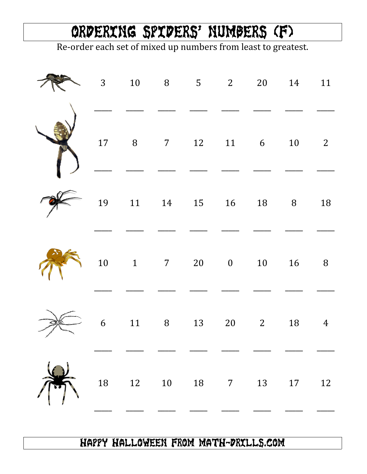## Ordering Spiders' Numbers (F)

Re-order each set of mixed up numbers from least to greatest.

|  | 3 10 8 5 2 20 14 11                                             |  |  |                |
|--|-----------------------------------------------------------------|--|--|----------------|
|  | $\begin{matrix} 17 & 8 & 7 & 12 & 11 & 6 & 10 & 2 \end{matrix}$ |  |  |                |
|  | 19    11    14    15    16    18    8    18                     |  |  |                |
|  | $10 \t 1 \t 7 \t 20 \t 0 \t 10 \t 16 \t 8$                      |  |  |                |
|  | 6 11 8 13 20 2 18                                               |  |  | $\overline{4}$ |
|  | $18$ $12$ $10$ $18$ $7$ $13$ $17$ $12$                          |  |  |                |

## Happy Halloween from Math-Drills.com